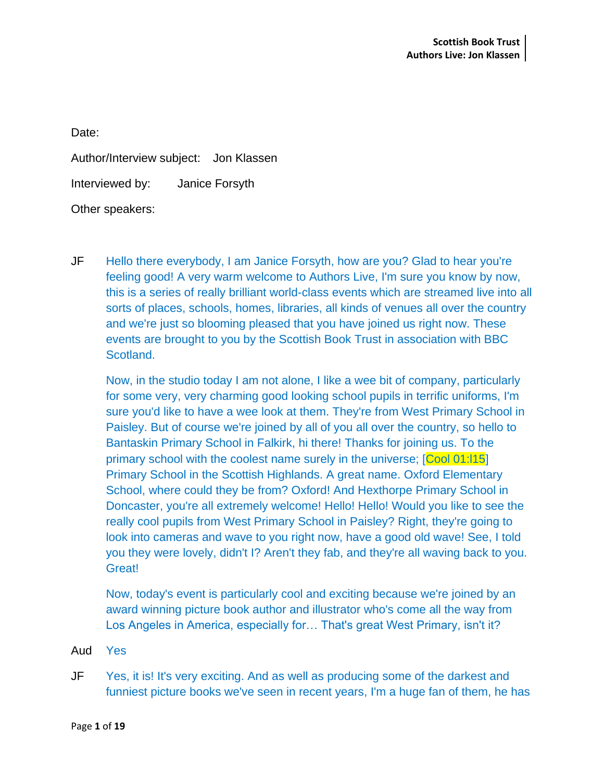Date:

Author/Interview subject: Jon Klassen

Interviewed by: Janice Forsyth

Other speakers:

JF Hello there everybody, I am Janice Forsyth, how are you? Glad to hear you're feeling good! A very warm welcome to Authors Live, I'm sure you know by now, this is a series of really brilliant world-class events which are streamed live into all sorts of places, schools, homes, libraries, all kinds of venues all over the country and we're just so blooming pleased that you have joined us right now. These events are brought to you by the Scottish Book Trust in association with BBC Scotland.

Now, in the studio today I am not alone, I like a wee bit of company, particularly for some very, very charming good looking school pupils in terrific uniforms, I'm sure you'd like to have a wee look at them. They're from West Primary School in Paisley. But of course we're joined by all of you all over the country, so hello to Bantaskin Primary School in Falkirk, hi there! Thanks for joining us. To the primary school with the coolest name surely in the universe; [Cool 01:l15] Primary School in the Scottish Highlands. A great name. Oxford Elementary School, where could they be from? Oxford! And Hexthorpe Primary School in Doncaster, you're all extremely welcome! Hello! Hello! Would you like to see the really cool pupils from West Primary School in Paisley? Right, they're going to look into cameras and wave to you right now, have a good old wave! See, I told you they were lovely, didn't I? Aren't they fab, and they're all waving back to you. Great!

Now, today's event is particularly cool and exciting because we're joined by an award winning picture book author and illustrator who's come all the way from Los Angeles in America, especially for… That's great West Primary, isn't it?

- Aud Yes
- JF Yes, it is! It's very exciting. And as well as producing some of the darkest and funniest picture books we've seen in recent years, I'm a huge fan of them, he has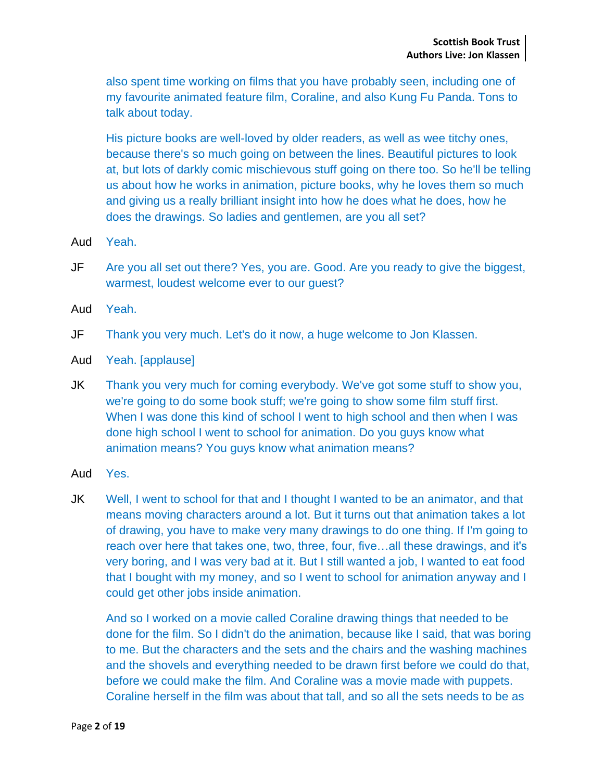also spent time working on films that you have probably seen, including one of my favourite animated feature film, Coraline, and also Kung Fu Panda. Tons to talk about today.

His picture books are well-loved by older readers, as well as wee titchy ones, because there's so much going on between the lines. Beautiful pictures to look at, but lots of darkly comic mischievous stuff going on there too. So he'll be telling us about how he works in animation, picture books, why he loves them so much and giving us a really brilliant insight into how he does what he does, how he does the drawings. So ladies and gentlemen, are you all set?

- Aud Yeah.
- JF Are you all set out there? Yes, you are. Good. Are you ready to give the biggest, warmest, loudest welcome ever to our guest?
- Aud Yeah.

JF Thank you very much. Let's do it now, a huge welcome to Jon Klassen.

- Aud Yeah. [applause]
- JK Thank you very much for coming everybody. We've got some stuff to show you, we're going to do some book stuff; we're going to show some film stuff first. When I was done this kind of school I went to high school and then when I was done high school I went to school for animation. Do you guys know what animation means? You guys know what animation means?
- Aud Yes.
- JK Well, I went to school for that and I thought I wanted to be an animator, and that means moving characters around a lot. But it turns out that animation takes a lot of drawing, you have to make very many drawings to do one thing. If I'm going to reach over here that takes one, two, three, four, five…all these drawings, and it's very boring, and I was very bad at it. But I still wanted a job, I wanted to eat food that I bought with my money, and so I went to school for animation anyway and I could get other jobs inside animation.

And so I worked on a movie called Coraline drawing things that needed to be done for the film. So I didn't do the animation, because like I said, that was boring to me. But the characters and the sets and the chairs and the washing machines and the shovels and everything needed to be drawn first before we could do that, before we could make the film. And Coraline was a movie made with puppets. Coraline herself in the film was about that tall, and so all the sets needs to be as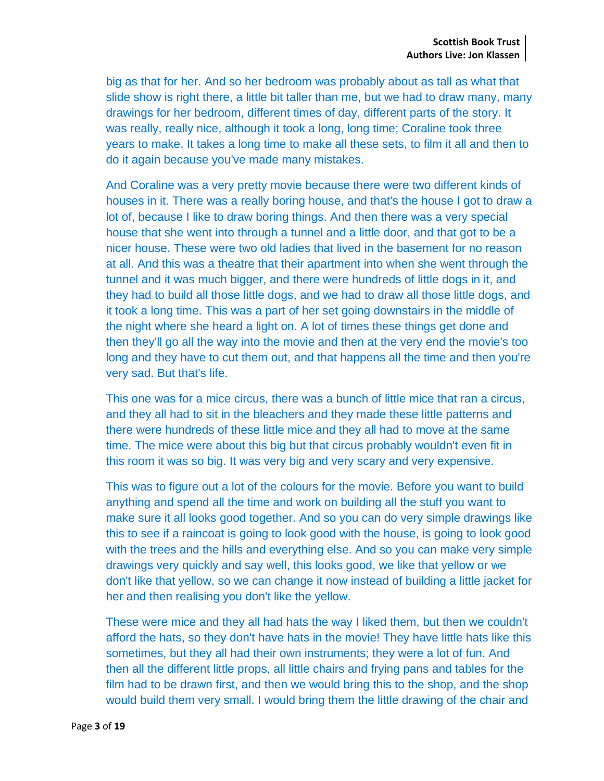big as that for her. And so her bedroom was probably about as tall as what that slide show is right there, a little bit taller than me, but we had to draw many, many drawings for her bedroom, different times of day, different parts of the story. It was really, really nice, although it took a long, long time; Coraline took three years to make. It takes a long time to make all these sets, to film it all and then to do it again because you've made many mistakes.

And Coraline was a very pretty movie because there were two different kinds of houses in it. There was a really boring house, and that's the house I got to draw a lot of, because I like to draw boring things. And then there was a very special house that she went into through a tunnel and a little door, and that got to be a nicer house. These were two old ladies that lived in the basement for no reason at all. And this was a theatre that their apartment into when she went through the tunnel and it was much bigger, and there were hundreds of little dogs in it, and they had to build all those little dogs, and we had to draw all those little dogs, and it took a long time. This was a part of her set going downstairs in the middle of the night where she heard a light on. A lot of times these things get done and then they'll go all the way into the movie and then at the very end the movie's too long and they have to cut them out, and that happens all the time and then you're very sad. But that's life.

This one was for a mice circus, there was a bunch of little mice that ran a circus, and they all had to sit in the bleachers and they made these little patterns and there were hundreds of these little mice and they all had to move at the same time. The mice were about this big but that circus probably wouldn't even fit in this room it was so big. It was very big and very scary and very expensive.

This was to figure out a lot of the colours for the movie. Before you want to build anything and spend all the time and work on building all the stuff you want to make sure it all looks good together. And so you can do very simple drawings like this to see if a raincoat is going to look good with the house, is going to look good with the trees and the hills and everything else. And so you can make very simple drawings very quickly and say well, this looks good, we like that yellow or we don't like that yellow, so we can change it now instead of building a little jacket for her and then realising you don't like the yellow.

These were mice and they all had hats the way I liked them, but then we couldn't afford the hats, so they don't have hats in the movie! They have little hats like this sometimes, but they all had their own instruments; they were a lot of fun. And then all the different little props, all little chairs and frying pans and tables for the film had to be drawn first, and then we would bring this to the shop, and the shop would build them very small. I would bring them the little drawing of the chair and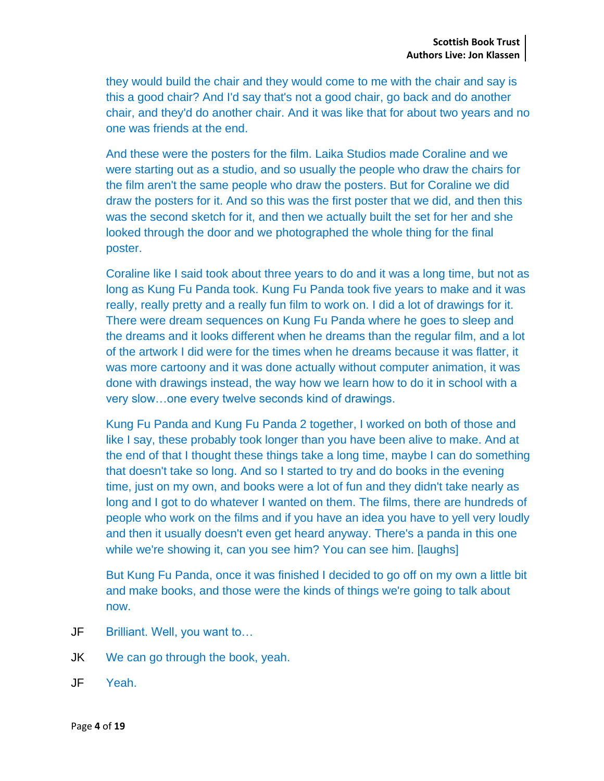they would build the chair and they would come to me with the chair and say is this a good chair? And I'd say that's not a good chair, go back and do another chair, and they'd do another chair. And it was like that for about two years and no one was friends at the end.

And these were the posters for the film. Laika Studios made Coraline and we were starting out as a studio, and so usually the people who draw the chairs for the film aren't the same people who draw the posters. But for Coraline we did draw the posters for it. And so this was the first poster that we did, and then this was the second sketch for it, and then we actually built the set for her and she looked through the door and we photographed the whole thing for the final poster.

Coraline like I said took about three years to do and it was a long time, but not as long as Kung Fu Panda took. Kung Fu Panda took five years to make and it was really, really pretty and a really fun film to work on. I did a lot of drawings for it. There were dream sequences on Kung Fu Panda where he goes to sleep and the dreams and it looks different when he dreams than the regular film, and a lot of the artwork I did were for the times when he dreams because it was flatter, it was more cartoony and it was done actually without computer animation, it was done with drawings instead, the way how we learn how to do it in school with a very slow…one every twelve seconds kind of drawings.

Kung Fu Panda and Kung Fu Panda 2 together, I worked on both of those and like I say, these probably took longer than you have been alive to make. And at the end of that I thought these things take a long time, maybe I can do something that doesn't take so long. And so I started to try and do books in the evening time, just on my own, and books were a lot of fun and they didn't take nearly as long and I got to do whatever I wanted on them. The films, there are hundreds of people who work on the films and if you have an idea you have to yell very loudly and then it usually doesn't even get heard anyway. There's a panda in this one while we're showing it, can you see him? You can see him. [laughs]

But Kung Fu Panda, once it was finished I decided to go off on my own a little bit and make books, and those were the kinds of things we're going to talk about now.

- JF Brilliant. Well, you want to…
- JK We can go through the book, yeah.
- JF Yeah.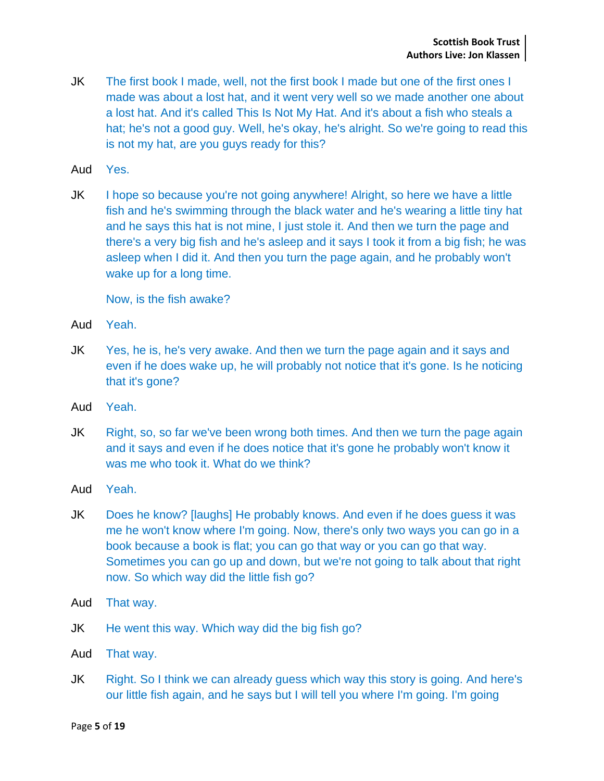- JK The first book I made, well, not the first book I made but one of the first ones I made was about a lost hat, and it went very well so we made another one about a lost hat. And it's called This Is Not My Hat. And it's about a fish who steals a hat; he's not a good guy. Well, he's okay, he's alright. So we're going to read this is not my hat, are you guys ready for this?
- Aud Yes.
- JK I hope so because you're not going anywhere! Alright, so here we have a little fish and he's swimming through the black water and he's wearing a little tiny hat and he says this hat is not mine, I just stole it. And then we turn the page and there's a very big fish and he's asleep and it says I took it from a big fish; he was asleep when I did it. And then you turn the page again, and he probably won't wake up for a long time.

Now, is the fish awake?

- Aud Yeah.
- JK Yes, he is, he's very awake. And then we turn the page again and it says and even if he does wake up, he will probably not notice that it's gone. Is he noticing that it's gone?
- Aud Yeah.
- JK Right, so, so far we've been wrong both times. And then we turn the page again and it says and even if he does notice that it's gone he probably won't know it was me who took it. What do we think?
- Aud Yeah.
- JK Does he know? [laughs] He probably knows. And even if he does guess it was me he won't know where I'm going. Now, there's only two ways you can go in a book because a book is flat; you can go that way or you can go that way. Sometimes you can go up and down, but we're not going to talk about that right now. So which way did the little fish go?
- Aud That way.
- JK He went this way. Which way did the big fish go?
- Aud That way.
- JK Right. So I think we can already guess which way this story is going. And here's our little fish again, and he says but I will tell you where I'm going. I'm going

Page **5** of **19**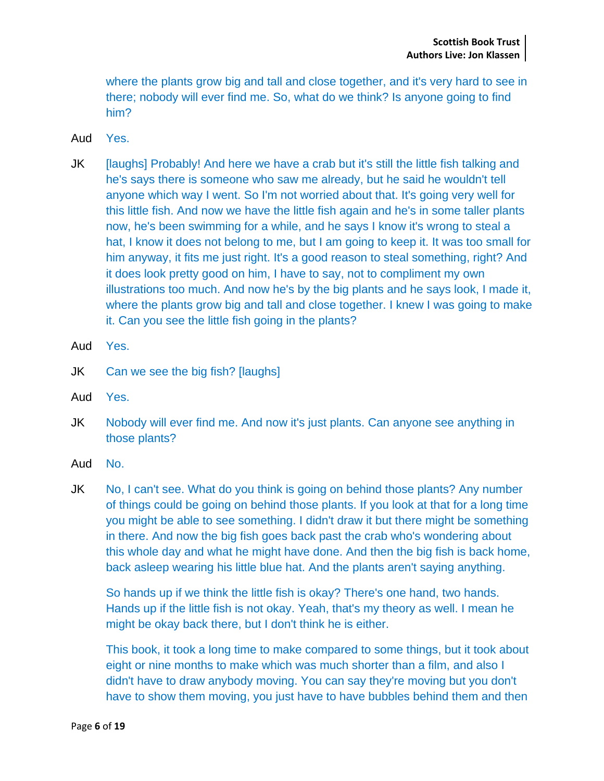where the plants grow big and tall and close together, and it's very hard to see in there; nobody will ever find me. So, what do we think? Is anyone going to find him?

- Aud Yes.
- JK [laughs] Probably! And here we have a crab but it's still the little fish talking and he's says there is someone who saw me already, but he said he wouldn't tell anyone which way I went. So I'm not worried about that. It's going very well for this little fish. And now we have the little fish again and he's in some taller plants now, he's been swimming for a while, and he says I know it's wrong to steal a hat, I know it does not belong to me, but I am going to keep it. It was too small for him anyway, it fits me just right. It's a good reason to steal something, right? And it does look pretty good on him, I have to say, not to compliment my own illustrations too much. And now he's by the big plants and he says look, I made it, where the plants grow big and tall and close together. I knew I was going to make it. Can you see the little fish going in the plants?
- Aud Yes.
- JK Can we see the big fish? [laughs]
- Aud Yes.
- JK Nobody will ever find me. And now it's just plants. Can anyone see anything in those plants?
- Aud No.
- JK No, I can't see. What do you think is going on behind those plants? Any number of things could be going on behind those plants. If you look at that for a long time you might be able to see something. I didn't draw it but there might be something in there. And now the big fish goes back past the crab who's wondering about this whole day and what he might have done. And then the big fish is back home, back asleep wearing his little blue hat. And the plants aren't saying anything.

So hands up if we think the little fish is okay? There's one hand, two hands. Hands up if the little fish is not okay. Yeah, that's my theory as well. I mean he might be okay back there, but I don't think he is either.

This book, it took a long time to make compared to some things, but it took about eight or nine months to make which was much shorter than a film, and also I didn't have to draw anybody moving. You can say they're moving but you don't have to show them moving, you just have to have bubbles behind them and then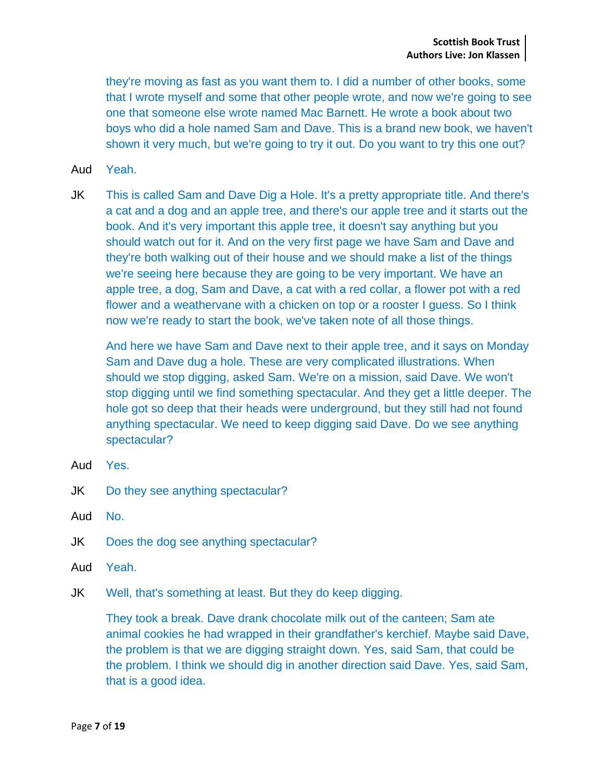they're moving as fast as you want them to. I did a number of other books, some that I wrote myself and some that other people wrote, and now we're going to see one that someone else wrote named Mac Barnett. He wrote a book about two boys who did a hole named Sam and Dave. This is a brand new book, we haven't shown it very much, but we're going to try it out. Do you want to try this one out?

- Aud Yeah.
- JK This is called Sam and Dave Dig a Hole. It's a pretty appropriate title. And there's a cat and a dog and an apple tree, and there's our apple tree and it starts out the book. And it's very important this apple tree, it doesn't say anything but you should watch out for it. And on the very first page we have Sam and Dave and they're both walking out of their house and we should make a list of the things we're seeing here because they are going to be very important. We have an apple tree, a dog, Sam and Dave, a cat with a red collar, a flower pot with a red flower and a weathervane with a chicken on top or a rooster I guess. So I think now we're ready to start the book, we've taken note of all those things.

And here we have Sam and Dave next to their apple tree, and it says on Monday Sam and Dave dug a hole. These are very complicated illustrations. When should we stop digging, asked Sam. We're on a mission, said Dave. We won't stop digging until we find something spectacular. And they get a little deeper. The hole got so deep that their heads were underground, but they still had not found anything spectacular. We need to keep digging said Dave. Do we see anything spectacular?

- Aud Yes.
- JK Do they see anything spectacular?
- Aud No.
- JK Does the dog see anything spectacular?
- Aud Yeah.
- JK Well, that's something at least. But they do keep digging.

They took a break. Dave drank chocolate milk out of the canteen; Sam ate animal cookies he had wrapped in their grandfather's kerchief. Maybe said Dave, the problem is that we are digging straight down. Yes, said Sam, that could be the problem. I think we should dig in another direction said Dave. Yes, said Sam, that is a good idea.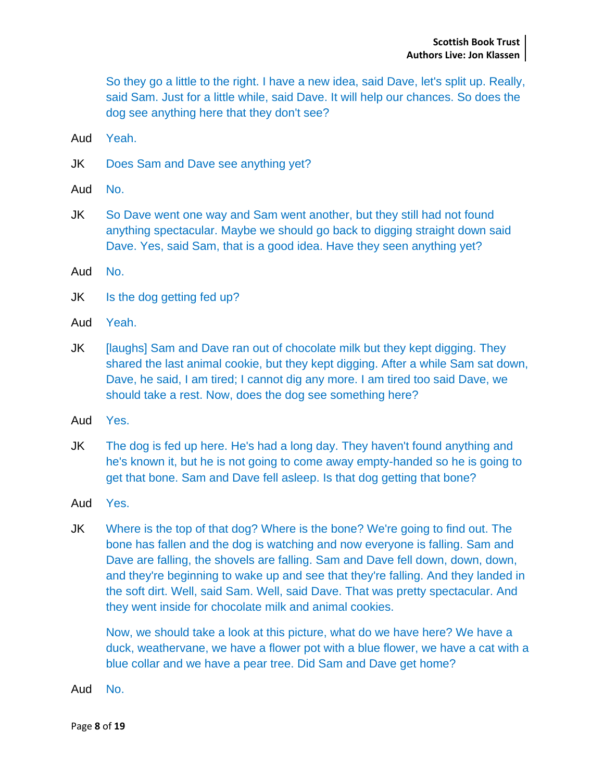So they go a little to the right. I have a new idea, said Dave, let's split up. Really, said Sam. Just for a little while, said Dave. It will help our chances. So does the dog see anything here that they don't see?

- Aud Yeah.
- JK Does Sam and Dave see anything yet?
- Aud No.
- JK So Dave went one way and Sam went another, but they still had not found anything spectacular. Maybe we should go back to digging straight down said Dave. Yes, said Sam, that is a good idea. Have they seen anything yet?
- Aud No.
- JK Is the dog getting fed up?
- Aud Yeah.
- JK [laughs] Sam and Dave ran out of chocolate milk but they kept digging. They shared the last animal cookie, but they kept digging. After a while Sam sat down, Dave, he said, I am tired; I cannot dig any more. I am tired too said Dave, we should take a rest. Now, does the dog see something here?
- Aud Yes.
- JK The dog is fed up here. He's had a long day. They haven't found anything and he's known it, but he is not going to come away empty-handed so he is going to get that bone. Sam and Dave fell asleep. Is that dog getting that bone?
- Aud Yes.
- JK Where is the top of that dog? Where is the bone? We're going to find out. The bone has fallen and the dog is watching and now everyone is falling. Sam and Dave are falling, the shovels are falling. Sam and Dave fell down, down, down, and they're beginning to wake up and see that they're falling. And they landed in the soft dirt. Well, said Sam. Well, said Dave. That was pretty spectacular. And they went inside for chocolate milk and animal cookies.

Now, we should take a look at this picture, what do we have here? We have a duck, weathervane, we have a flower pot with a blue flower, we have a cat with a blue collar and we have a pear tree. Did Sam and Dave get home?

Aud No.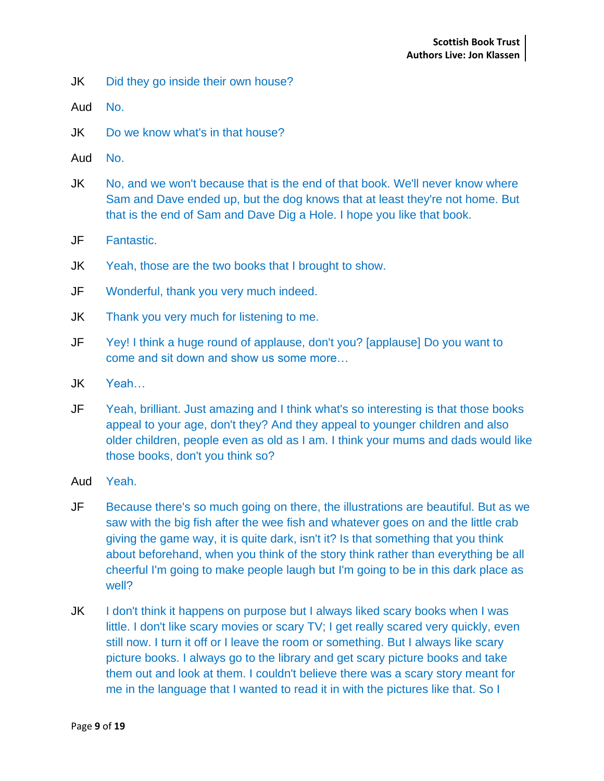- JK Did they go inside their own house?
- Aud No.
- JK Do we know what's in that house?
- Aud No.
- JK No, and we won't because that is the end of that book. We'll never know where Sam and Dave ended up, but the dog knows that at least they're not home. But that is the end of Sam and Dave Dig a Hole. I hope you like that book.
- JF Fantastic.
- JK Yeah, those are the two books that I brought to show.
- JF Wonderful, thank you very much indeed.
- JK Thank you very much for listening to me.
- JF Yey! I think a huge round of applause, don't you? [applause] Do you want to come and sit down and show us some more…
- JK Yeah…
- JF Yeah, brilliant. Just amazing and I think what's so interesting is that those books appeal to your age, don't they? And they appeal to younger children and also older children, people even as old as I am. I think your mums and dads would like those books, don't you think so?
- Aud Yeah.
- JF Because there's so much going on there, the illustrations are beautiful. But as we saw with the big fish after the wee fish and whatever goes on and the little crab giving the game way, it is quite dark, isn't it? Is that something that you think about beforehand, when you think of the story think rather than everything be all cheerful I'm going to make people laugh but I'm going to be in this dark place as well?
- JK I don't think it happens on purpose but I always liked scary books when I was little. I don't like scary movies or scary TV; I get really scared very quickly, even still now. I turn it off or I leave the room or something. But I always like scary picture books. I always go to the library and get scary picture books and take them out and look at them. I couldn't believe there was a scary story meant for me in the language that I wanted to read it in with the pictures like that. So I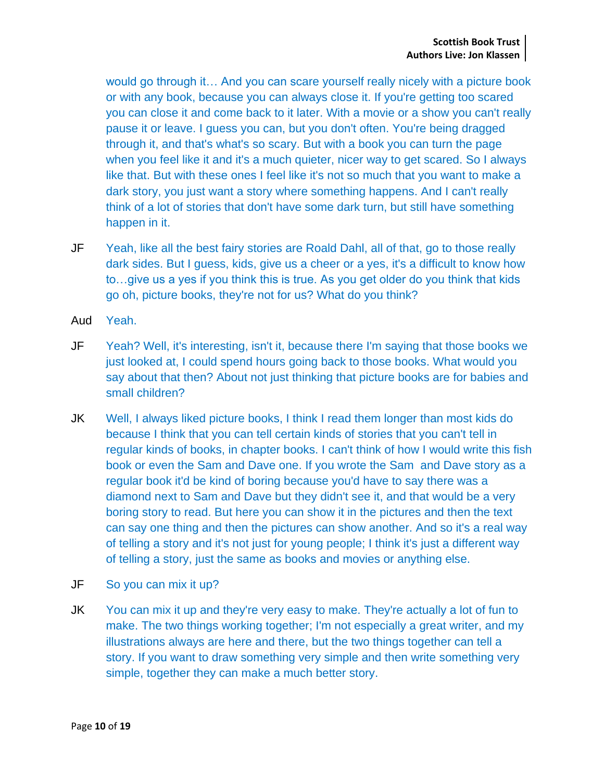would go through it… And you can scare yourself really nicely with a picture book or with any book, because you can always close it. If you're getting too scared you can close it and come back to it later. With a movie or a show you can't really pause it or leave. I guess you can, but you don't often. You're being dragged through it, and that's what's so scary. But with a book you can turn the page when you feel like it and it's a much quieter, nicer way to get scared. So I always like that. But with these ones I feel like it's not so much that you want to make a dark story, you just want a story where something happens. And I can't really think of a lot of stories that don't have some dark turn, but still have something happen in it.

- JF Yeah, like all the best fairy stories are Roald Dahl, all of that, go to those really dark sides. But I guess, kids, give us a cheer or a yes, it's a difficult to know how to…give us a yes if you think this is true. As you get older do you think that kids go oh, picture books, they're not for us? What do you think?
- Aud Yeah.
- JF Yeah? Well, it's interesting, isn't it, because there I'm saying that those books we just looked at, I could spend hours going back to those books. What would you say about that then? About not just thinking that picture books are for babies and small children?
- JK Well, I always liked picture books, I think I read them longer than most kids do because I think that you can tell certain kinds of stories that you can't tell in regular kinds of books, in chapter books. I can't think of how I would write this fish book or even the Sam and Dave one. If you wrote the Sam and Dave story as a regular book it'd be kind of boring because you'd have to say there was a diamond next to Sam and Dave but they didn't see it, and that would be a very boring story to read. But here you can show it in the pictures and then the text can say one thing and then the pictures can show another. And so it's a real way of telling a story and it's not just for young people; I think it's just a different way of telling a story, just the same as books and movies or anything else.
- JF So you can mix it up?
- JK You can mix it up and they're very easy to make. They're actually a lot of fun to make. The two things working together; I'm not especially a great writer, and my illustrations always are here and there, but the two things together can tell a story. If you want to draw something very simple and then write something very simple, together they can make a much better story.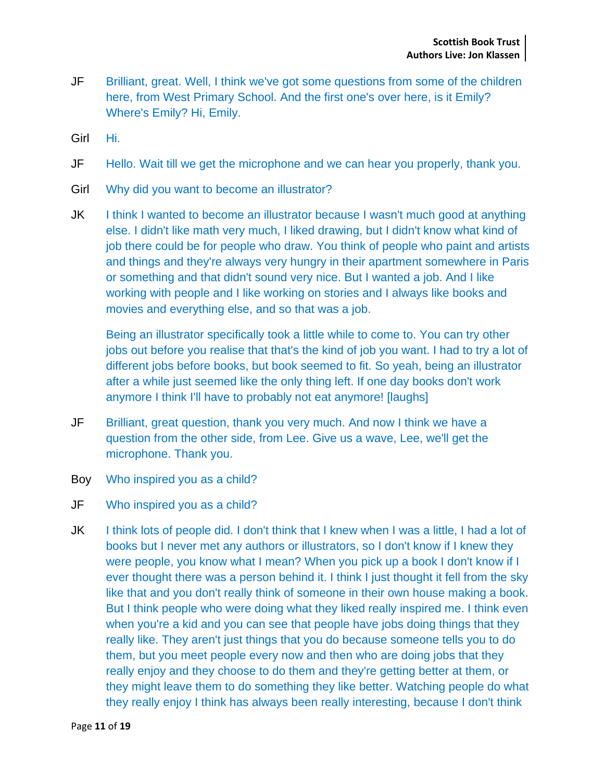- JF Brilliant, great. Well, I think we've got some questions from some of the children here, from West Primary School. And the first one's over here, is it Emily? Where's Emily? Hi, Emily.
- Girl Hi.
- JF Hello. Wait till we get the microphone and we can hear you properly, thank you.
- Girl Why did you want to become an illustrator?
- JK I think I wanted to become an illustrator because I wasn't much good at anything else. I didn't like math very much, I liked drawing, but I didn't know what kind of job there could be for people who draw. You think of people who paint and artists and things and they're always very hungry in their apartment somewhere in Paris or something and that didn't sound very nice. But I wanted a job. And I like working with people and I like working on stories and I always like books and movies and everything else, and so that was a job.

Being an illustrator specifically took a little while to come to. You can try other jobs out before you realise that that's the kind of job you want. I had to try a lot of different jobs before books, but book seemed to fit. So yeah, being an illustrator after a while just seemed like the only thing left. If one day books don't work anymore I think I'll have to probably not eat anymore! [laughs]

- JF Brilliant, great question, thank you very much. And now I think we have a question from the other side, from Lee. Give us a wave, Lee, we'll get the microphone. Thank you.
- Boy Who inspired you as a child?
- JF Who inspired you as a child?
- JK I think lots of people did. I don't think that I knew when I was a little, I had a lot of books but I never met any authors or illustrators, so I don't know if I knew they were people, you know what I mean? When you pick up a book I don't know if I ever thought there was a person behind it. I think I just thought it fell from the sky like that and you don't really think of someone in their own house making a book. But I think people who were doing what they liked really inspired me. I think even when you're a kid and you can see that people have jobs doing things that they really like. They aren't just things that you do because someone tells you to do them, but you meet people every now and then who are doing jobs that they really enjoy and they choose to do them and they're getting better at them, or they might leave them to do something they like better. Watching people do what they really enjoy I think has always been really interesting, because I don't think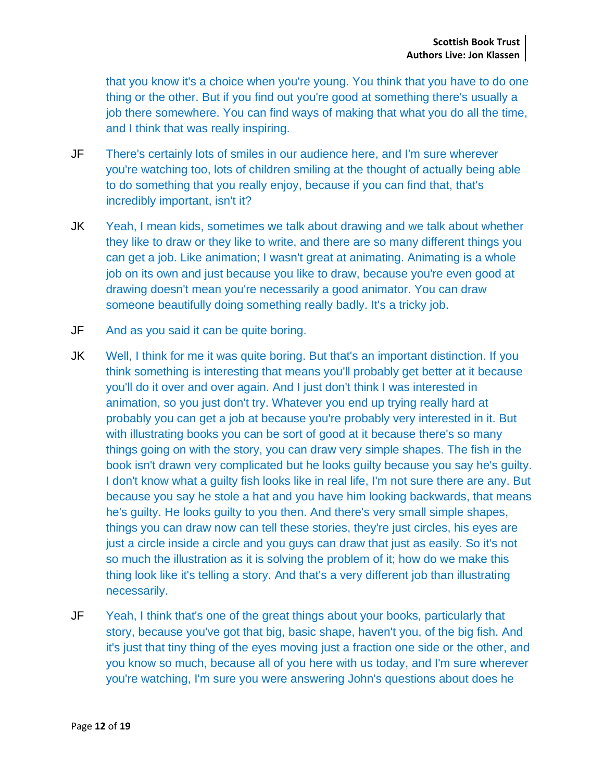that you know it's a choice when you're young. You think that you have to do one thing or the other. But if you find out you're good at something there's usually a job there somewhere. You can find ways of making that what you do all the time, and I think that was really inspiring.

- JF There's certainly lots of smiles in our audience here, and I'm sure wherever you're watching too, lots of children smiling at the thought of actually being able to do something that you really enjoy, because if you can find that, that's incredibly important, isn't it?
- JK Yeah, I mean kids, sometimes we talk about drawing and we talk about whether they like to draw or they like to write, and there are so many different things you can get a job. Like animation; I wasn't great at animating. Animating is a whole job on its own and just because you like to draw, because you're even good at drawing doesn't mean you're necessarily a good animator. You can draw someone beautifully doing something really badly. It's a tricky job.
- JF And as you said it can be quite boring.
- JK Well, I think for me it was quite boring. But that's an important distinction. If you think something is interesting that means you'll probably get better at it because you'll do it over and over again. And I just don't think I was interested in animation, so you just don't try. Whatever you end up trying really hard at probably you can get a job at because you're probably very interested in it. But with illustrating books you can be sort of good at it because there's so many things going on with the story, you can draw very simple shapes. The fish in the book isn't drawn very complicated but he looks guilty because you say he's guilty. I don't know what a guilty fish looks like in real life, I'm not sure there are any. But because you say he stole a hat and you have him looking backwards, that means he's guilty. He looks guilty to you then. And there's very small simple shapes, things you can draw now can tell these stories, they're just circles, his eyes are just a circle inside a circle and you guys can draw that just as easily. So it's not so much the illustration as it is solving the problem of it; how do we make this thing look like it's telling a story. And that's a very different job than illustrating necessarily.
- JF Yeah, I think that's one of the great things about your books, particularly that story, because you've got that big, basic shape, haven't you, of the big fish. And it's just that tiny thing of the eyes moving just a fraction one side or the other, and you know so much, because all of you here with us today, and I'm sure wherever you're watching, I'm sure you were answering John's questions about does he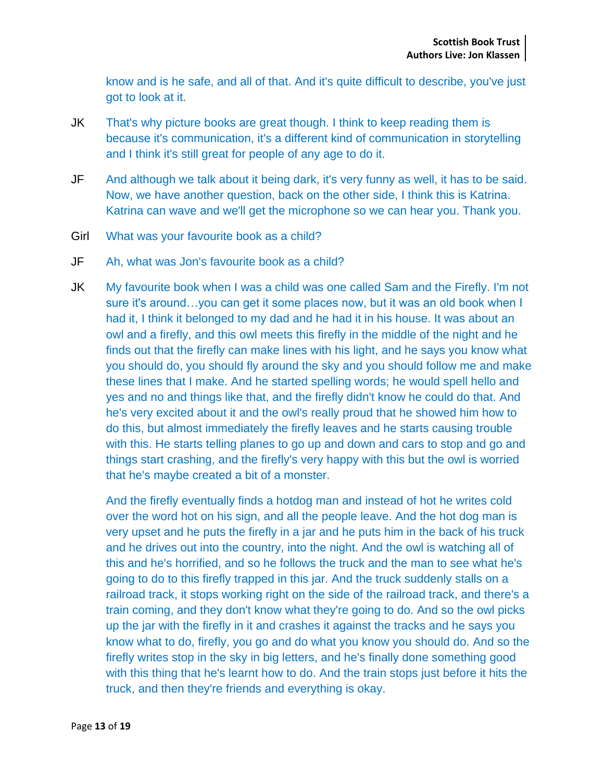know and is he safe, and all of that. And it's quite difficult to describe, you've just got to look at it.

- JK That's why picture books are great though. I think to keep reading them is because it's communication, it's a different kind of communication in storytelling and I think it's still great for people of any age to do it.
- JF And although we talk about it being dark, it's very funny as well, it has to be said. Now, we have another question, back on the other side, I think this is Katrina. Katrina can wave and we'll get the microphone so we can hear you. Thank you.
- Girl What was your favourite book as a child?
- JF Ah, what was Jon's favourite book as a child?
- JK My favourite book when I was a child was one called Sam and the Firefly. I'm not sure it's around…you can get it some places now, but it was an old book when I had it, I think it belonged to my dad and he had it in his house. It was about an owl and a firefly, and this owl meets this firefly in the middle of the night and he finds out that the firefly can make lines with his light, and he says you know what you should do, you should fly around the sky and you should follow me and make these lines that I make. And he started spelling words; he would spell hello and yes and no and things like that, and the firefly didn't know he could do that. And he's very excited about it and the owl's really proud that he showed him how to do this, but almost immediately the firefly leaves and he starts causing trouble with this. He starts telling planes to go up and down and cars to stop and go and things start crashing, and the firefly's very happy with this but the owl is worried that he's maybe created a bit of a monster.

And the firefly eventually finds a hotdog man and instead of hot he writes cold over the word hot on his sign, and all the people leave. And the hot dog man is very upset and he puts the firefly in a jar and he puts him in the back of his truck and he drives out into the country, into the night. And the owl is watching all of this and he's horrified, and so he follows the truck and the man to see what he's going to do to this firefly trapped in this jar. And the truck suddenly stalls on a railroad track, it stops working right on the side of the railroad track, and there's a train coming, and they don't know what they're going to do. And so the owl picks up the jar with the firefly in it and crashes it against the tracks and he says you know what to do, firefly, you go and do what you know you should do. And so the firefly writes stop in the sky in big letters, and he's finally done something good with this thing that he's learnt how to do. And the train stops just before it hits the truck, and then they're friends and everything is okay.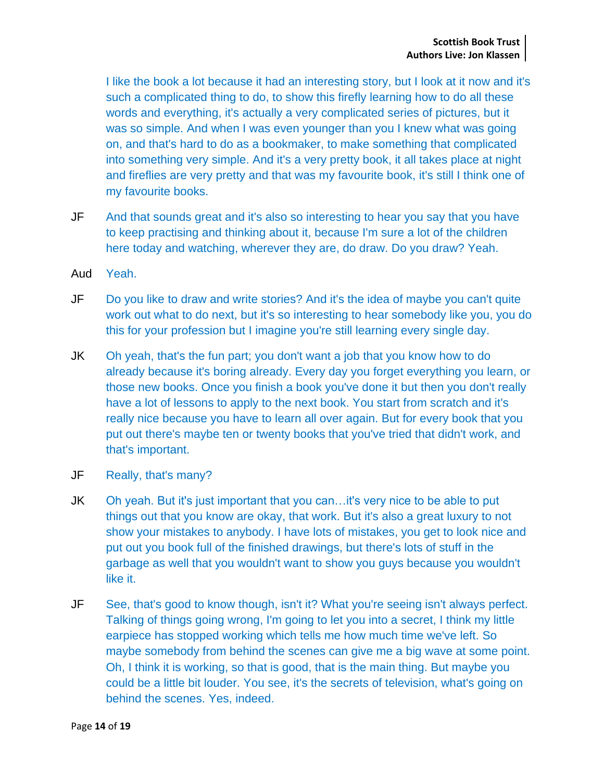I like the book a lot because it had an interesting story, but I look at it now and it's such a complicated thing to do, to show this firefly learning how to do all these words and everything, it's actually a very complicated series of pictures, but it was so simple. And when I was even younger than you I knew what was going on, and that's hard to do as a bookmaker, to make something that complicated into something very simple. And it's a very pretty book, it all takes place at night and fireflies are very pretty and that was my favourite book, it's still I think one of my favourite books.

- JF And that sounds great and it's also so interesting to hear you say that you have to keep practising and thinking about it, because I'm sure a lot of the children here today and watching, wherever they are, do draw. Do you draw? Yeah.
- Aud Yeah.
- JF Do you like to draw and write stories? And it's the idea of maybe you can't quite work out what to do next, but it's so interesting to hear somebody like you, you do this for your profession but I imagine you're still learning every single day.
- JK Oh yeah, that's the fun part; you don't want a job that you know how to do already because it's boring already. Every day you forget everything you learn, or those new books. Once you finish a book you've done it but then you don't really have a lot of lessons to apply to the next book. You start from scratch and it's really nice because you have to learn all over again. But for every book that you put out there's maybe ten or twenty books that you've tried that didn't work, and that's important.
- JF Really, that's many?
- JK Oh yeah. But it's just important that you can...it's very nice to be able to put things out that you know are okay, that work. But it's also a great luxury to not show your mistakes to anybody. I have lots of mistakes, you get to look nice and put out you book full of the finished drawings, but there's lots of stuff in the garbage as well that you wouldn't want to show you guys because you wouldn't like it.
- JF See, that's good to know though, isn't it? What you're seeing isn't always perfect. Talking of things going wrong, I'm going to let you into a secret, I think my little earpiece has stopped working which tells me how much time we've left. So maybe somebody from behind the scenes can give me a big wave at some point. Oh, I think it is working, so that is good, that is the main thing. But maybe you could be a little bit louder. You see, it's the secrets of television, what's going on behind the scenes. Yes, indeed.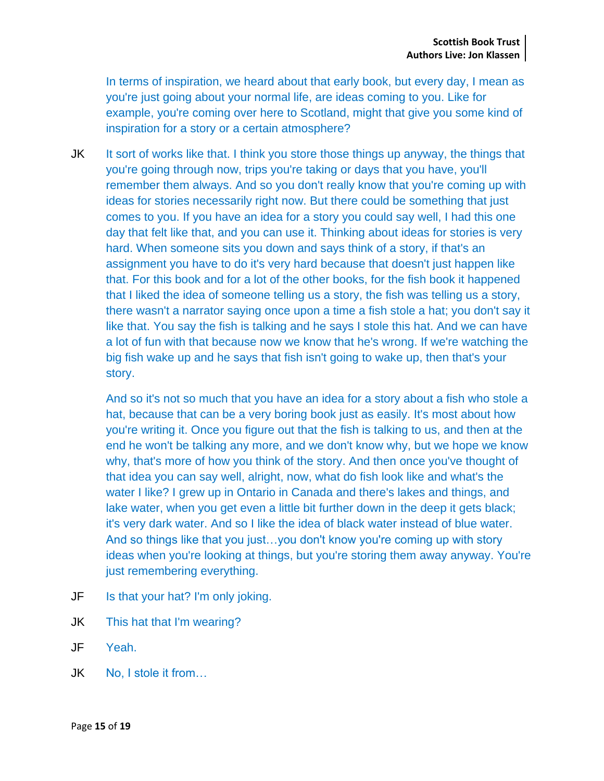In terms of inspiration, we heard about that early book, but every day, I mean as you're just going about your normal life, are ideas coming to you. Like for example, you're coming over here to Scotland, might that give you some kind of inspiration for a story or a certain atmosphere?

JK It sort of works like that. I think you store those things up anyway, the things that you're going through now, trips you're taking or days that you have, you'll remember them always. And so you don't really know that you're coming up with ideas for stories necessarily right now. But there could be something that just comes to you. If you have an idea for a story you could say well, I had this one day that felt like that, and you can use it. Thinking about ideas for stories is very hard. When someone sits you down and says think of a story, if that's an assignment you have to do it's very hard because that doesn't just happen like that. For this book and for a lot of the other books, for the fish book it happened that I liked the idea of someone telling us a story, the fish was telling us a story, there wasn't a narrator saying once upon a time a fish stole a hat; you don't say it like that. You say the fish is talking and he says I stole this hat. And we can have a lot of fun with that because now we know that he's wrong. If we're watching the big fish wake up and he says that fish isn't going to wake up, then that's your story.

And so it's not so much that you have an idea for a story about a fish who stole a hat, because that can be a very boring book just as easily. It's most about how you're writing it. Once you figure out that the fish is talking to us, and then at the end he won't be talking any more, and we don't know why, but we hope we know why, that's more of how you think of the story. And then once you've thought of that idea you can say well, alright, now, what do fish look like and what's the water I like? I grew up in Ontario in Canada and there's lakes and things, and lake water, when you get even a little bit further down in the deep it gets black; it's very dark water. And so I like the idea of black water instead of blue water. And so things like that you just…you don't know you're coming up with story ideas when you're looking at things, but you're storing them away anyway. You're just remembering everything.

- JF Is that your hat? I'm only joking.
- JK This hat that I'm wearing?
- JF Yeah.
- JK No, I stole it from…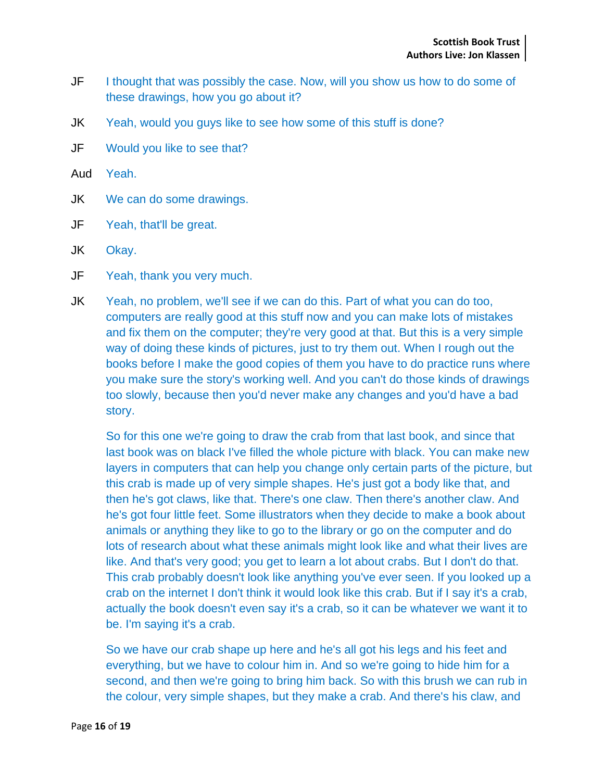- JF I thought that was possibly the case. Now, will you show us how to do some of these drawings, how you go about it?
- JK Yeah, would you guys like to see how some of this stuff is done?
- JF Would you like to see that?
- Aud Yeah.
- JK We can do some drawings.
- JF Yeah, that'll be great.
- JK Okay.
- JF Yeah, thank you very much.
- JK Yeah, no problem, we'll see if we can do this. Part of what you can do too, computers are really good at this stuff now and you can make lots of mistakes and fix them on the computer; they're very good at that. But this is a very simple way of doing these kinds of pictures, just to try them out. When I rough out the books before I make the good copies of them you have to do practice runs where you make sure the story's working well. And you can't do those kinds of drawings too slowly, because then you'd never make any changes and you'd have a bad story.

So for this one we're going to draw the crab from that last book, and since that last book was on black I've filled the whole picture with black. You can make new layers in computers that can help you change only certain parts of the picture, but this crab is made up of very simple shapes. He's just got a body like that, and then he's got claws, like that. There's one claw. Then there's another claw. And he's got four little feet. Some illustrators when they decide to make a book about animals or anything they like to go to the library or go on the computer and do lots of research about what these animals might look like and what their lives are like. And that's very good; you get to learn a lot about crabs. But I don't do that. This crab probably doesn't look like anything you've ever seen. If you looked up a crab on the internet I don't think it would look like this crab. But if I say it's a crab, actually the book doesn't even say it's a crab, so it can be whatever we want it to be. I'm saying it's a crab.

So we have our crab shape up here and he's all got his legs and his feet and everything, but we have to colour him in. And so we're going to hide him for a second, and then we're going to bring him back. So with this brush we can rub in the colour, very simple shapes, but they make a crab. And there's his claw, and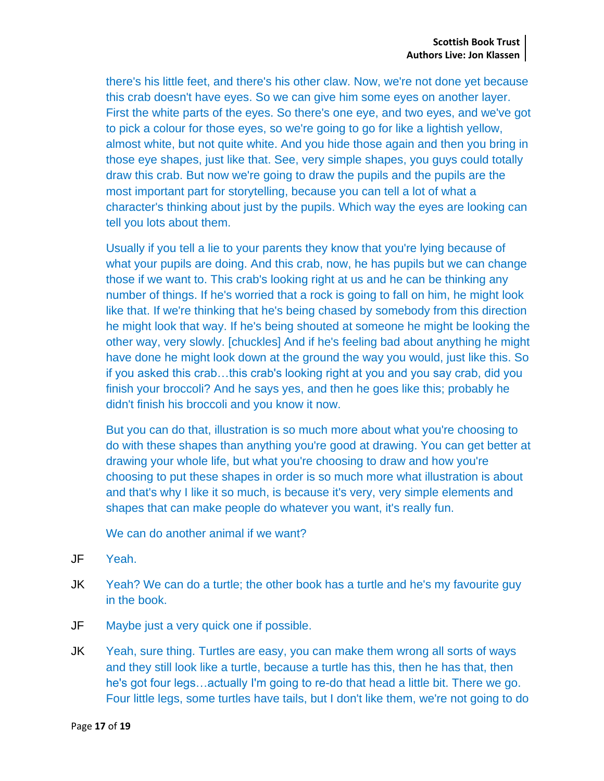there's his little feet, and there's his other claw. Now, we're not done yet because this crab doesn't have eyes. So we can give him some eyes on another layer. First the white parts of the eyes. So there's one eye, and two eyes, and we've got to pick a colour for those eyes, so we're going to go for like a lightish yellow, almost white, but not quite white. And you hide those again and then you bring in those eye shapes, just like that. See, very simple shapes, you guys could totally draw this crab. But now we're going to draw the pupils and the pupils are the most important part for storytelling, because you can tell a lot of what a character's thinking about just by the pupils. Which way the eyes are looking can tell you lots about them.

Usually if you tell a lie to your parents they know that you're lying because of what your pupils are doing. And this crab, now, he has pupils but we can change those if we want to. This crab's looking right at us and he can be thinking any number of things. If he's worried that a rock is going to fall on him, he might look like that. If we're thinking that he's being chased by somebody from this direction he might look that way. If he's being shouted at someone he might be looking the other way, very slowly. [chuckles] And if he's feeling bad about anything he might have done he might look down at the ground the way you would, just like this. So if you asked this crab…this crab's looking right at you and you say crab, did you finish your broccoli? And he says yes, and then he goes like this; probably he didn't finish his broccoli and you know it now.

But you can do that, illustration is so much more about what you're choosing to do with these shapes than anything you're good at drawing. You can get better at drawing your whole life, but what you're choosing to draw and how you're choosing to put these shapes in order is so much more what illustration is about and that's why I like it so much, is because it's very, very simple elements and shapes that can make people do whatever you want, it's really fun.

We can do another animal if we want?

- JF Yeah.
- JK Yeah? We can do a turtle; the other book has a turtle and he's my favourite guy in the book.
- JF Maybe just a very quick one if possible.
- JK Yeah, sure thing. Turtles are easy, you can make them wrong all sorts of ways and they still look like a turtle, because a turtle has this, then he has that, then he's got four legs…actually I'm going to re-do that head a little bit. There we go. Four little legs, some turtles have tails, but I don't like them, we're not going to do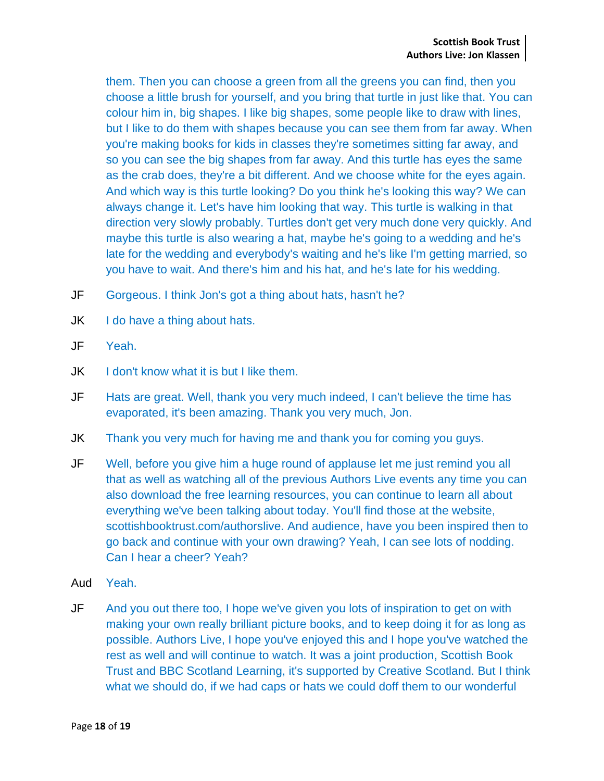them. Then you can choose a green from all the greens you can find, then you choose a little brush for yourself, and you bring that turtle in just like that. You can colour him in, big shapes. I like big shapes, some people like to draw with lines, but I like to do them with shapes because you can see them from far away. When you're making books for kids in classes they're sometimes sitting far away, and so you can see the big shapes from far away. And this turtle has eyes the same as the crab does, they're a bit different. And we choose white for the eyes again. And which way is this turtle looking? Do you think he's looking this way? We can always change it. Let's have him looking that way. This turtle is walking in that direction very slowly probably. Turtles don't get very much done very quickly. And maybe this turtle is also wearing a hat, maybe he's going to a wedding and he's late for the wedding and everybody's waiting and he's like I'm getting married, so you have to wait. And there's him and his hat, and he's late for his wedding.

- JF Gorgeous. I think Jon's got a thing about hats, hasn't he?
- JK I do have a thing about hats.
- JF Yeah.
- **JK** I don't know what it is but I like them.
- JF Hats are great. Well, thank you very much indeed, I can't believe the time has evaporated, it's been amazing. Thank you very much, Jon.
- JK Thank you very much for having me and thank you for coming you guys.
- JF Well, before you give him a huge round of applause let me just remind you all that as well as watching all of the previous Authors Live events any time you can also download the free learning resources, you can continue to learn all about everything we've been talking about today. You'll find those at the website, scottishbooktrust.com/authorslive. And audience, have you been inspired then to go back and continue with your own drawing? Yeah, I can see lots of nodding. Can I hear a cheer? Yeah?
- Aud Yeah.
- JF And you out there too, I hope we've given you lots of inspiration to get on with making your own really brilliant picture books, and to keep doing it for as long as possible. Authors Live, I hope you've enjoyed this and I hope you've watched the rest as well and will continue to watch. It was a joint production, Scottish Book Trust and BBC Scotland Learning, it's supported by Creative Scotland. But I think what we should do, if we had caps or hats we could doff them to our wonderful